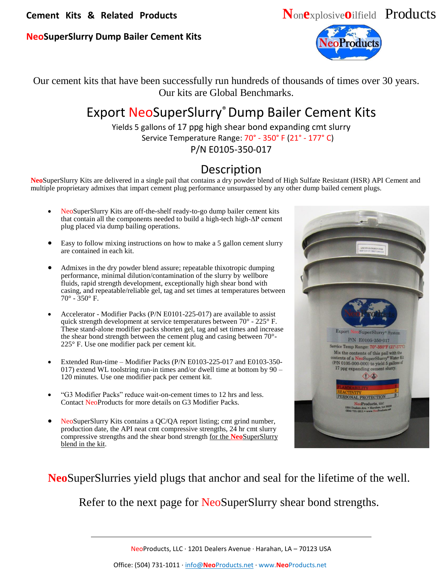**Cement Kits & Related Products N**on**e**xplosive**o**ilfield Products

## **NeoSuperSlurry Dump Bailer Cement Kits**



Our cement kits that have been successfully run hundreds of thousands of times over 30 years. Our kits are Global Benchmarks.

## Export NeoSuperSlurry®Dump Bailer Cement Kits

Yields 5 gallons of 17 ppg high shear bond expanding cmt slurry Service Temperature Range: 70° - 350° F (21° - 177° C)

P/N E0105-350-017

## Description

**Neo**SuperSlurry Kits are delivered in a single pail that contains a dry powder blend of High Sulfate Resistant (HSR) API Cement and multiple proprietary admixes that impart cement plug performance unsurpassed by any other dump bailed cement plugs.

- NeoSuperSlurry Kits are off-the-shelf ready-to-go dump bailer cement kits that contain all the components needed to build a high-tech high-ΔP cement plug placed via dump bailing operations.
- Easy to follow mixing instructions on how to make a 5 gallon cement slurry are contained in each kit.
- Admixes in the dry powder blend assure; repeatable thixotropic dumping performance, minimal dilution/contamination of the slurry by wellbore fluids, rapid strength development, exceptionally high shear bond with casing, and repeatable/reliable gel, tag and set times at temperatures between  $70^{\circ}$  - 350 $^{\circ}$  F.
- Accelerator Modifier Packs (P/N E0101-225-017) are available to assist quick strength development at service temperatures between 70° - 225° F. These stand-alone modifier packs shorten gel, tag and set times and increase the shear bond strength between the cement plug and casing between 70°- 225° F. Use one modifier pack per cement kit.
- Extended Run-time Modifier Packs (P/N E0103-225-017 and E0103-350- 017) extend WL toolstring run-in times and/or dwell time at bottom by 90 – 120 minutes. Use one modifier pack per cement kit.
- "G3 Modifier Packs" reduce wait-on-cement times to 12 hrs and less. Contact NeoProducts for more details on G3 Modifier Packs.
- NeoSuperSlurry Kits contains a QC/QA report listing; cmt grind number, production date, the API neat cmt compressive strengths, 24 hr cmt slurry compressive strengths and the shear bond strength for the **Neo**SuperSlurry blend in the kit.



**Neo**SuperSlurries yield plugs that anchor and seal for the lifetime of the well.

Refer to the next page for NeoSuperSlurry shear bond strengths.

NeoProducts, LLC ∙ 1201 Dealers Avenue ∙ Harahan, LA – 70123 USA